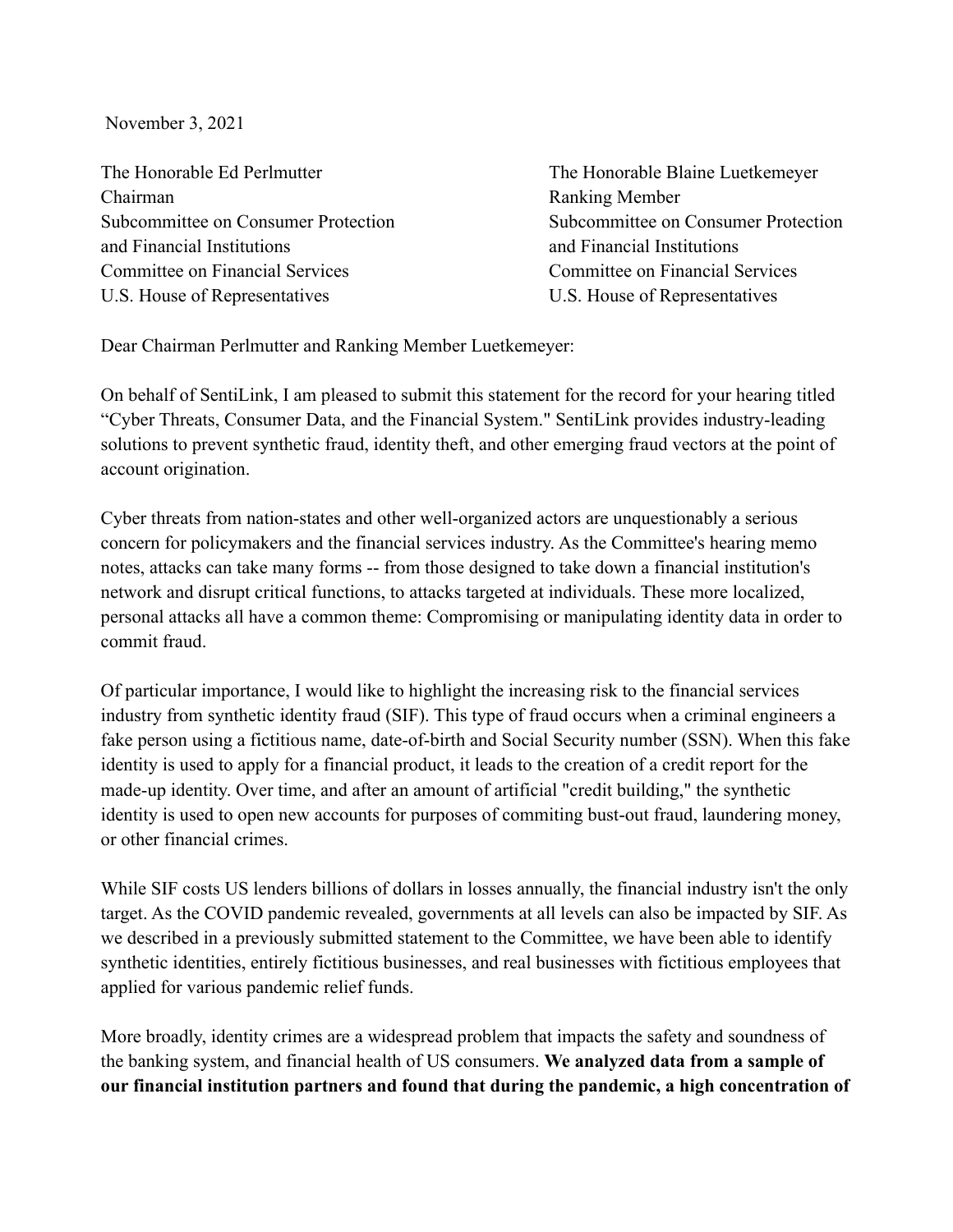November 3, 2021

The Honorable Ed Perlmutter The Honorable Blaine Luetkemeyer Chairman Ranking Member Subcommittee on Consumer Protection Subcommittee on Consumer Protection and Financial Institutions and Financial Institutions Committee on Financial Services Committee on Financial Services U.S. House of Representatives U.S. House of Representatives

Dear Chairman Perlmutter and Ranking Member Luetkemeyer:

On behalf of SentiLink, I am pleased to submit this statement for the record for your hearing titled "Cyber Threats, Consumer Data, and the Financial System." SentiLink provides industry-leading solutions to prevent synthetic fraud, identity theft, and other emerging fraud vectors at the point of account origination.

Cyber threats from nation-states and other well-organized actors are unquestionably a serious concern for policymakers and the financial services industry. As the Committee's hearing memo notes, attacks can take many forms -- from those designed to take down a financial institution's network and disrupt critical functions, to attacks targeted at individuals. These more localized, personal attacks all have a common theme: Compromising or manipulating identity data in order to commit fraud.

Of particular importance, I would like to highlight the increasing risk to the financial services industry from synthetic identity fraud (SIF). This type of fraud occurs when a criminal engineers a fake person using a fictitious name, date-of-birth and Social Security number (SSN). When this fake identity is used to apply for a financial product, it leads to the creation of a credit report for the made-up identity. Over time, and after an amount of artificial "credit building," the synthetic identity is used to open new accounts for purposes of commiting bust-out fraud, laundering money, or other financial crimes.

While SIF costs US lenders billions of dollars in losses annually, the financial industry isn't the only target. As the COVID pandemic revealed, governments at all levels can also be impacted by SIF. As we described in a previously submitted statement to the Committee, we have been able to identify synthetic identities, entirely fictitious businesses, and real businesses with fictitious employees that applied for various pandemic relief funds.

More broadly, identity crimes are a widespread problem that impacts the safety and soundness of the banking system, and financial health of US consumers. **We analyzed data from a sample of our financial institution partners and found that during the pandemic, a high concentration of**